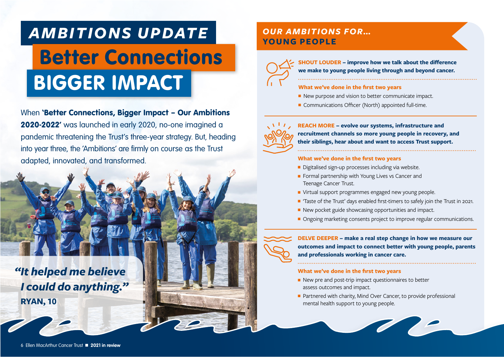# *AMBITIONS UPDATE* Better Connections BIGGER IMPACT

When 'Better Connections, Bigger Impact – Our Ambitions 2020-2022' was launched in early 2020, no-one imagined a pandemic threatening the Trust's three-year strategy. But, heading into year three, the 'Ambitions' are firmly on course as the Trust adapted, innovated, and transformed.



## *OUR AMBITIONS FOR…* **YOUNG PEOPLE**



**SHOUT LOUDER – improve how we talk about the difference we make to young people living through and beyond cancer.**

#### **What we've done in the first two years**

- New purpose and vision to better communicate impact.
- Communications Officer (North) appointed full-time.



**REACH MORE – evolve our systems, infrastructure and recruitment channels so more young people in recovery, and their siblings, hear about and want to access Trust support.**

#### **What we've done in the first two years**

- Digitalised sign-up processes including via website.
- Formal partnership with Young Lives vs Cancer and Teenage Cancer Trust.
- Virtual support programmes engaged new young people.
- 'Taste of the Trust' days enabled first-timers to safely join the Trust in 2021.
- New pocket guide showcasing opportunities and impact.
- Ongoing marketing consents project to improve regular communications.

**DELVE DEEPER – make a real step change in how we measure our outcomes and impact to connect better with young people, parents and professionals working in cancer care.**

#### **What we've done in the first two years**

- New pre and post-trip impact questionnaires to better assess outcomes and impact.
- Partnered with charity, Mind Over Cancer, to provide professional mental health support to young people.